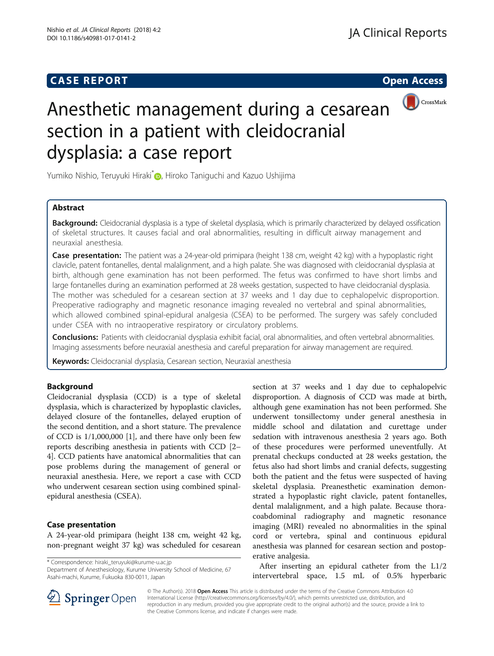# **CASE REPORT CASE REPORT CASE REPORT**



# Anesthetic management during a cesarean section in a patient with cleidocranial dysplasia: a case report

Yumiko Nishio[,](http://orcid.org/0000-0001-6412-502X) Teruyuki Hiraki<sup>\*</sup> , Hiroko Taniguchi and Kazuo Ushijima

## Abstract

Background: Cleidocranial dysplasia is a type of skeletal dysplasia, which is primarily characterized by delayed ossification of skeletal structures. It causes facial and oral abnormalities, resulting in difficult airway management and neuraxial anesthesia.

Case presentation: The patient was a 24-year-old primipara (height 138 cm, weight 42 kg) with a hypoplastic right clavicle, patent fontanelles, dental malalignment, and a high palate. She was diagnosed with cleidocranial dysplasia at birth, although gene examination has not been performed. The fetus was confirmed to have short limbs and large fontanelles during an examination performed at 28 weeks gestation, suspected to have cleidocranial dysplasia. The mother was scheduled for a cesarean section at 37 weeks and 1 day due to cephalopelvic disproportion. Preoperative radiography and magnetic resonance imaging revealed no vertebral and spinal abnormalities, which allowed combined spinal-epidural analgesia (CSEA) to be performed. The surgery was safely concluded under CSEA with no intraoperative respiratory or circulatory problems.

Conclusions: Patients with cleidocranial dysplasia exhibit facial, oral abnormalities, and often vertebral abnormalities. Imaging assessments before neuraxial anesthesia and careful preparation for airway management are required.

Keywords: Cleidocranial dysplasia, Cesarean section, Neuraxial anesthesia

#### Background

Cleidocranial dysplasia (CCD) is a type of skeletal dysplasia, which is characterized by hypoplastic clavicles, delayed closure of the fontanelles, delayed eruption of the second dentition, and a short stature. The prevalence of CCD is 1/1,000,000 [[1\]](#page-1-0), and there have only been few reports describing anesthesia in patients with CCD [[2](#page-1-0)– [4\]](#page-1-0). CCD patients have anatomical abnormalities that can pose problems during the management of general or neuraxial anesthesia. Here, we report a case with CCD who underwent cesarean section using combined spinalepidural anesthesia (CSEA).

### Case presentation

A 24-year-old primipara (height 138 cm, weight 42 kg, non-pregnant weight 37 kg) was scheduled for cesarean

\* Correspondence: [hiraki\\_teruyuki@kurume-u.ac.jp](mailto:hiraki_teruyuki@kurume-u.ac.jp)

Department of Anesthesiology, Kurume University School of Medicine, 67 Asahi-machi, Kurume, Fukuoka 830-0011, Japan

section at 37 weeks and 1 day due to cephalopelvic disproportion. A diagnosis of CCD was made at birth, although gene examination has not been performed. She underwent tonsillectomy under general anesthesia in middle school and dilatation and curettage under sedation with intravenous anesthesia 2 years ago. Both of these procedures were performed uneventfully. At prenatal checkups conducted at 28 weeks gestation, the fetus also had short limbs and cranial defects, suggesting both the patient and the fetus were suspected of having skeletal dysplasia. Preanesthetic examination demonstrated a hypoplastic right clavicle, patent fontanelles, dental malalignment, and a high palate. Because thoracoabdominal radiography and magnetic resonance imaging (MRI) revealed no abnormalities in the spinal cord or vertebra, spinal and continuous epidural anesthesia was planned for cesarean section and postoperative analgesia.

After inserting an epidural catheter from the L1/2 intervertebral space, 1.5 mL of 0.5% hyperbaric



© The Author(s). 2018 Open Access This article is distributed under the terms of the Creative Commons Attribution 4.0 International License ([http://creativecommons.org/licenses/by/4.0/\)](http://creativecommons.org/licenses/by/4.0/), which permits unrestricted use, distribution, and reproduction in any medium, provided you give appropriate credit to the original author(s) and the source, provide a link to the Creative Commons license, and indicate if changes were made.